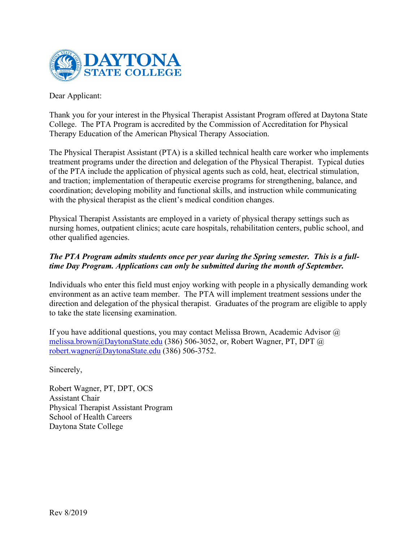

Dear Applicant:

Thank you for your interest in the Physical Therapist Assistant Program offered at Daytona State College. The PTA Program is accredited by the Commission of Accreditation for Physical Therapy Education of the American Physical Therapy Association.

The Physical Therapist Assistant (PTA) is a skilled technical health care worker who implements treatment programs under the direction and delegation of the Physical Therapist. Typical duties of the PTA include the application of physical agents such as cold, heat, electrical stimulation, and traction; implementation of therapeutic exercise programs for strengthening, balance, and coordination; developing mobility and functional skills, and instruction while communicating with the physical therapist as the client's medical condition changes.

Physical Therapist Assistants are employed in a variety of physical therapy settings such as nursing homes, outpatient clinics; acute care hospitals, rehabilitation centers, public school, and other qualified agencies.

## *The PTA Program admits students once per year during the Spring semester. This is a fulltime Day Program. Applications can only be submitted during the month of September.*

Individuals who enter this field must enjoy working with people in a physically demanding work environment as an active team member. The PTA will implement treatment sessions under the direction and delegation of the physical therapist. Graduates of the program are eligible to apply to take the state licensing examination.

If you have additional questions, you may contact Melissa Brown, Academic Advisor  $\omega$ [melissa.brown@DaytonaState.edu](mailto:melissa.brown@DaytonaState.edu) (386) 506-3052, or, Robert Wagner, PT, DPT @ [robert.wagner@DaytonaState.edu](mailto:robert.wagner@DaytonaState.edu) (386) 506-3752.

Sincerely,

Robert Wagner, PT, DPT, OCS Assistant Chair Physical Therapist Assistant Program School of Health Careers Daytona State College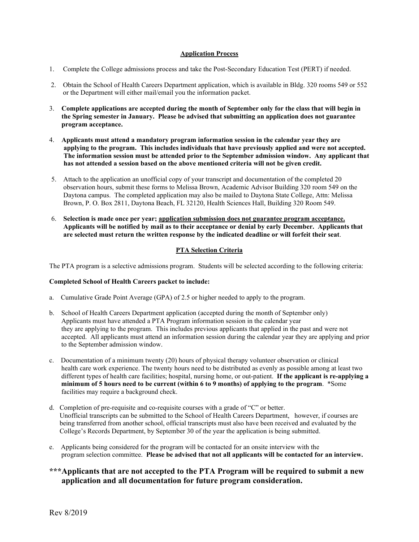#### **Application Process**

- 1. Complete the College admissions process and take the Post-Secondary Education Test (PERT) if needed.
- 2. Obtain the School of Health Careers Department application, which is available in Bldg. 320 rooms 549 or 552 or the Department will either mail/email you the information packet.
- 3. **Complete applications are accepted during the month of September only for the class that will begin in the Spring semester in January. Please be advised that submitting an application does not guarantee program acceptance.**
- 4. **Applicants must attend a mandatory program information session in the calendar year they are applying to the program. This includes individuals that have previously applied and were not accepted. The information session must be attended prior to the September admission window. Any applicant that has not attended a session based on the above mentioned criteria will not be given credit.**
- 5. Attach to the application an unofficial copy of your transcript and documentation of the completed 20 observation hours, submit these forms to Melissa Brown, Academic Advisor Building 320 room 549 on the Daytona campus. The completed application may also be mailed to Daytona State College, Attn: Melissa Brown, P. O. Box 2811, Daytona Beach, FL 32120, Health Sciences Hall, Building 320 Room 549.
- 6. **Selection is made once per year; application submission does not guarantee program acceptance. Applicants will be notified by mail as to their acceptance or denial by early December. Applicants that are selected must return the written response by the indicated deadline or will forfeit their seat**.

#### **PTA Selection Criteria**

The PTA program is a selective admissions program. Students will be selected according to the following criteria:

#### **Completed School of Health Careers packet to include:**

- a. Cumulative Grade Point Average (GPA) of 2.5 or higher needed to apply to the program.
- b. School of Health Careers Department application (accepted during the month of September only) Applicants must have attended a PTA Program information session in the calendar year they are applying to the program. This includes previous applicants that applied in the past and were not accepted. All applicants must attend an information session during the calendar year they are applying and prior to the September admission window.
- c. Documentation of a minimum twenty (20) hours of physical therapy volunteer observation or clinical health care work experience. The twenty hours need to be distributed as evenly as possible among at least two different types of health care facilities; hospital, nursing home, or out-patient. **If the applicant is re-applying a minimum of 5 hours need to be current (within 6 to 9 months) of applying to the program**. \*Some facilities may require a background check.
- d. Completion of pre-requisite and co-requisite courses with a grade of "C" or better. Unofficial transcripts can be submitted to the School of Health Careers Department, however, if courses are being transferred from another school, official transcripts must also have been received and evaluated by the College's Records Department, by September 30 of the year the application is being submitted.
- e. Applicants being considered for the program will be contacted for an onsite interview with the program selection committee. **Please be advised that not all applicants will be contacted for an interview.**

#### **\*\*\*Applicants that are not accepted to the PTA Program will be required to submit a new application and all documentation for future program consideration.**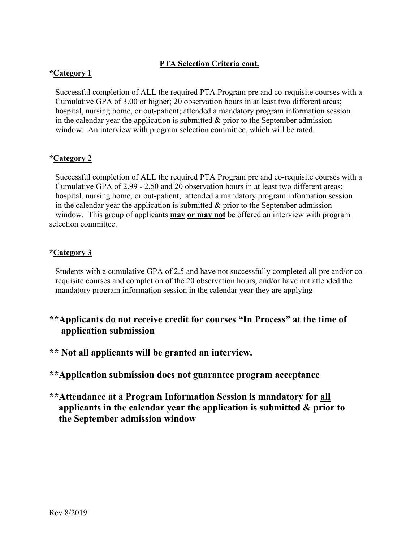## **PTA Selection Criteria cont.**

## **\*Category 1**

 Successful completion of ALL the required PTA Program pre and co-requisite courses with a Cumulative GPA of 3.00 or higher; 20 observation hours in at least two different areas; hospital, nursing home, or out-patient; attended a mandatory program information session in the calendar year the application is submitted  $\&$  prior to the September admission window. An interview with program selection committee, which will be rated.

## **\*Category 2**

 Successful completion of ALL the required PTA Program pre and co-requisite courses with a Cumulative GPA of 2.99 - 2.50 and 20 observation hours in at least two different areas; hospital, nursing home, or out-patient; attended a mandatory program information session in the calendar year the application is submitted  $\&$  prior to the September admission window. This group of applicants **may or may not** be offered an interview with program selection committee.

## **\*Category 3**

 Students with a cumulative GPA of 2.5 and have not successfully completed all pre and/or co requisite courses and completion of the 20 observation hours, and/or have not attended the mandatory program information session in the calendar year they are applying

- **\*\*Applicants do not receive credit for courses "In Process" at the time of application submission**
- **\*\* Not all applicants will be granted an interview.**

**\*\*Application submission does not guarantee program acceptance**

**\*\*Attendance at a Program Information Session is mandatory for all applicants in the calendar year the application is submitted & prior to the September admission window**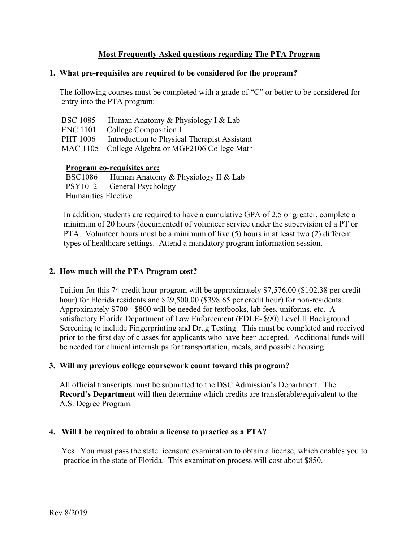## **Most Frequently Asked questions regarding The PTA Program**

#### **1. What pre-requisites are required to be considered for the program?**

 The following courses must be completed with a grade of "C" or better to be considered for entry into the PTA program:

| <b>BSC 1085</b> | Human Anatomy & Physiology I & Lab               |
|-----------------|--------------------------------------------------|
| <b>ENC</b> 1101 | College Composition I                            |
| PHT 1006        | Introduction to Physical Therapist Assistant     |
|                 | MAC 1105 College Algebra or MGF2106 College Math |

#### **Program co-requisites are:**

BSC1086 Human Anatomy & Physiology II & Lab PSY1012 General Psychology Humanities Elective

 In addition, students are required to have a cumulative GPA of 2.5 or greater, complete a minimum of 20 hours (documented) of volunteer service under the supervision of a PT or PTA. Volunteer hours must be a minimum of five (5) hours in at least two (2) different types of healthcare settings. Attend a mandatory program information session.

## **2. How much will the PTA Program cost?**

Tuition for this 74 credit hour program will be approximately \$7,576.00 (\$102.38 per credit hour) for Florida residents and \$29,500.00 (\$398.65 per credit hour) for non-residents. Approximately \$700 - \$800 will be needed for textbooks, lab fees, uniforms, etc. A satisfactory Florida Department of Law Enforcement (FDLE- \$90) Level II Background Screening to include Fingerprinting and Drug Testing. This must be completed and received prior to the first day of classes for applicants who have been accepted. Additional funds will be needed for clinical internships for transportation, meals, and possible housing.

#### **3. Will my previous college coursework count toward this program?**

 All official transcripts must be submitted to the DSC Admission's Department. The **Record's Department** will then determine which credits are transferable/equivalent to the A.S. Degree Program.

#### **4. Will I be required to obtain a license to practice as a PTA?**

 Yes. You must pass the state licensure examination to obtain a license, which enables you to practice in the state of Florida. This examination process will cost about \$850.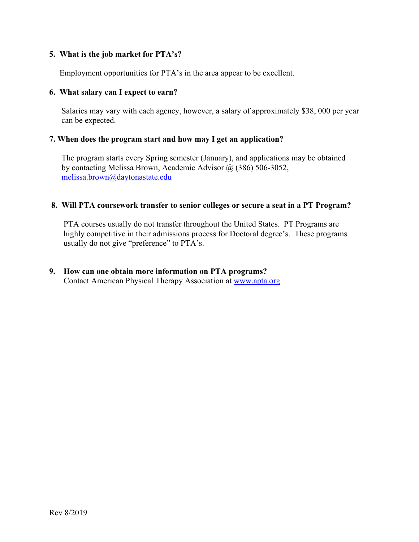## **5. What is the job market for PTA's?**

Employment opportunities for PTA's in the area appear to be excellent.

## **6. What salary can I expect to earn?**

 Salaries may vary with each agency, however, a salary of approximately \$38, 000 per year can be expected.

## **7. When does the program start and how may I get an application?**

 The program starts every Spring semester (January), and applications may be obtained by contacting Melissa Brown, Academic Advisor @ (386) 506-3052, [melissa.brown@daytonastate.edu](mailto:melissa.brown@daytonastate.edu)

## **8. Will PTA coursework transfer to senior colleges or secure a seat in a PT Program?**

 PTA courses usually do not transfer throughout the United States. PT Programs are highly competitive in their admissions process for Doctoral degree's. These programs usually do not give "preference" to PTA's.

# **9. How can one obtain more information on PTA programs?**

Contact American Physical Therapy Association at [www.apta.org](http://www.apta.org/)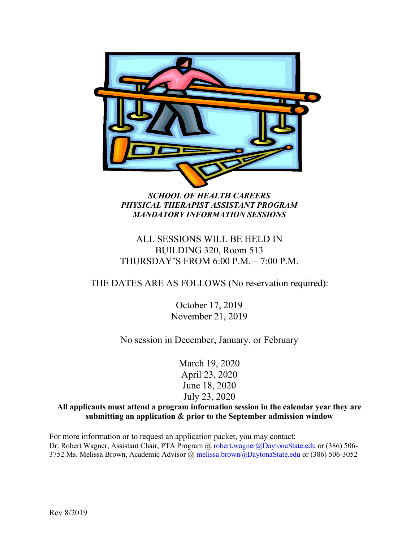

## *SCHOOL OF HEALTH CAREERS PHYSICAL THERAPIST ASSISTANT PROGRAM MANDATORY INFORMATION SESSIONS*

## ALL SESSIONS WILL BE HELD IN BUILDING 320, Room 513 THURSDAY'S FROM 6:00 P.M. – 7:00 P.M.

## THE DATES ARE AS FOLLOWS (No reservation required):

October 17, 2019 November 21, 2019

No session in December, January, or February

March 19, 2020 April 23, 2020 June 18, 2020 July 23, 2020

**All applicants must attend a program information session in the calendar year they are submitting an application & prior to the September admission window**

For more information or to request an application packet, you may contact: Dr. Robert Wagner, Assistant Chair, PTA Program @ [robert.wagner@DaytonaState.edu](mailto:robert.wagner@DaytonaState.edu) or (386) 5063752 Ms. Melissa Brown, Academic Advisor @ [melissa.brown@DaytonaState.edu](mailto:melissa.brown@DaytonaState.edu) or (386) 506-3052